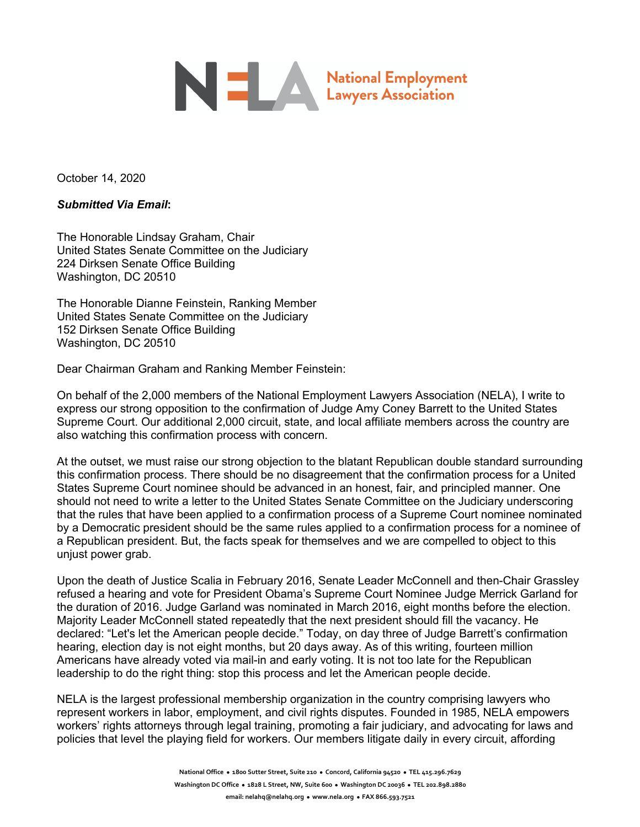# National Employment

October 14, 2020

*Submitted Via Email***:** 

The Honorable Lindsay Graham, Chair United States Senate Committee on the Judiciary 224 Dirksen Senate Office Building Washington, DC 20510

The Honorable Dianne Feinstein, Ranking Member United States Senate Committee on the Judiciary 152 Dirksen Senate Office Building Washington, DC 20510

Dear Chairman Graham and Ranking Member Feinstein:

On behalf of the 2,000 members of the National Employment Lawyers Association (NELA), I write to express our strong opposition to the confirmation of Judge Amy Coney Barrett to the United States Supreme Court. Our additional 2,000 circuit, state, and local affiliate members across the country are also watching this confirmation process with concern.

At the outset, we must raise our strong objection to the blatant Republican double standard surrounding this confirmation process. There should be no disagreement that the confirmation process for a United States Supreme Court nominee should be advanced in an honest, fair, and principled manner. One should not need to write a letter to the United States Senate Committee on the Judiciary underscoring that the rules that have been applied to a confirmation process of a Supreme Court nominee nominated by a Democratic president should be the same rules applied to a confirmation process for a nominee of a Republican president. But, the facts speak for themselves and we are compelled to object to this unjust power grab.

Upon the death of Justice Scalia in February 2016, Senate Leader McConnell and then-Chair Grassley refused a hearing and vote for President Obama's Supreme Court Nominee Judge Merrick Garland for the duration of 2016. Judge Garland was nominated in March 2016, eight months before the election. Majority Leader McConnell stated repeatedly that the next president should fill the vacancy. He declared: "Let's let the American people decide." Today, on day three of Judge Barrett's confirmation hearing, election day is not eight months, but 20 days away. As of this writing, fourteen million Americans have already voted via mail-in and early voting. It is not too late for the Republican leadership to do the right thing: stop this process and let the American people decide.

NELA is the largest professional membership organization in the country comprising lawyers who represent workers in labor, employment, and civil rights disputes. Founded in 1985, NELA empowers workers' rights attorneys through legal training, promoting a fair judiciary, and advocating for laws and policies that level the playing field for workers. Our members litigate daily in every circuit, affording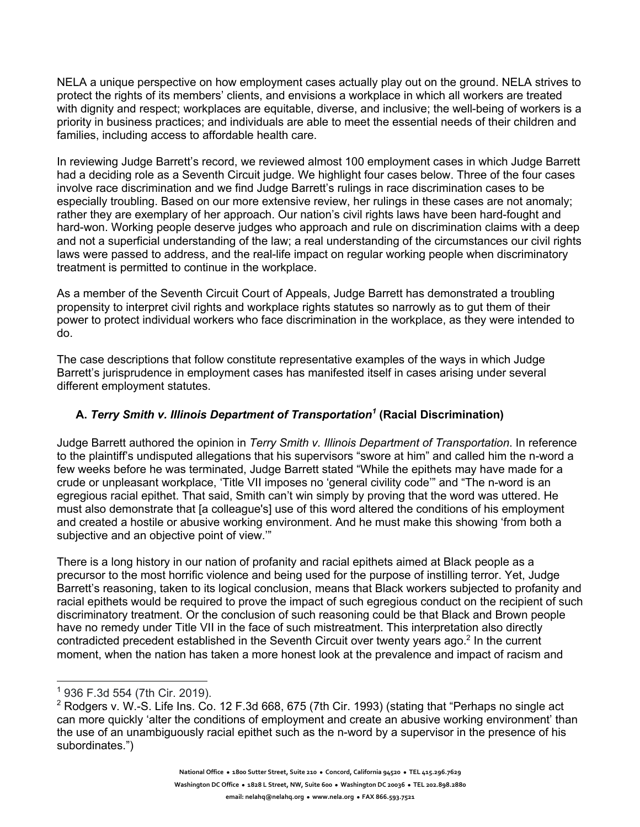NELA a unique perspective on how employment cases actually play out on the ground. NELA strives to protect the rights of its members' clients, and envisions a workplace in which all workers are treated with dignity and respect; workplaces are equitable, diverse, and inclusive; the well-being of workers is a priority in business practices; and individuals are able to meet the essential needs of their children and families, including access to affordable health care.

In reviewing Judge Barrett's record, we reviewed almost 100 employment cases in which Judge Barrett had a deciding role as a Seventh Circuit judge. We highlight four cases below. Three of the four cases involve race discrimination and we find Judge Barrett's rulings in race discrimination cases to be especially troubling. Based on our more extensive review, her rulings in these cases are not anomaly; rather they are exemplary of her approach. Our nation's civil rights laws have been hard-fought and hard-won. Working people deserve judges who approach and rule on discrimination claims with a deep and not a superficial understanding of the law; a real understanding of the circumstances our civil rights laws were passed to address, and the real-life impact on regular working people when discriminatory treatment is permitted to continue in the workplace.

As a member of the Seventh Circuit Court of Appeals, Judge Barrett has demonstrated a troubling propensity to interpret civil rights and workplace rights statutes so narrowly as to gut them of their power to protect individual workers who face discrimination in the workplace, as they were intended to do.

The case descriptions that follow constitute representative examples of the ways in which Judge Barrett's jurisprudence in employment cases has manifested itself in cases arising under several different employment statutes.

#### **A.** *Terry Smith v. Illinois Department of Transportation<sup>1</sup>* **(Racial Discrimination)**

Judge Barrett authored the opinion in *Terry Smith v. Illinois Department of Transportation*. In reference to the plaintiff's undisputed allegations that his supervisors "swore at him" and called him the n-word a few weeks before he was terminated, Judge Barrett stated "While the epithets may have made for a crude or unpleasant workplace, 'Title VII imposes no 'general civility code'" and "The n-word is an egregious racial epithet. That said, Smith can't win simply by proving that the word was uttered. He must also demonstrate that [a colleague's] use of this word altered the conditions of his employment and created a hostile or abusive working environment. And he must make this showing 'from both a subjective and an objective point of view.'"

There is a long history in our nation of profanity and racial epithets aimed at Black people as a precursor to the most horrific violence and being used for the purpose of instilling terror. Yet, Judge Barrett's reasoning, taken to its logical conclusion, means that Black workers subjected to profanity and racial epithets would be required to prove the impact of such egregious conduct on the recipient of such discriminatory treatment. Or the conclusion of such reasoning could be that Black and Brown people have no remedy under Title VII in the face of such mistreatment. This interpretation also directly contradicted precedent established in the Seventh Circuit over twenty years ago.<sup>2</sup> In the current moment, when the nation has taken a more honest look at the prevalence and impact of racism and

<sup>1</sup> 936 F.3d 554 (7th Cir. 2019).

 $2$  Rodgers v. W.-S. Life Ins. Co. 12 F.3d 668, 675 (7th Cir. 1993) (stating that "Perhaps no single act can more quickly 'alter the conditions of employment and create an abusive working environment' than the use of an unambiguously racial epithet such as the n-word by a supervisor in the presence of his subordinates.")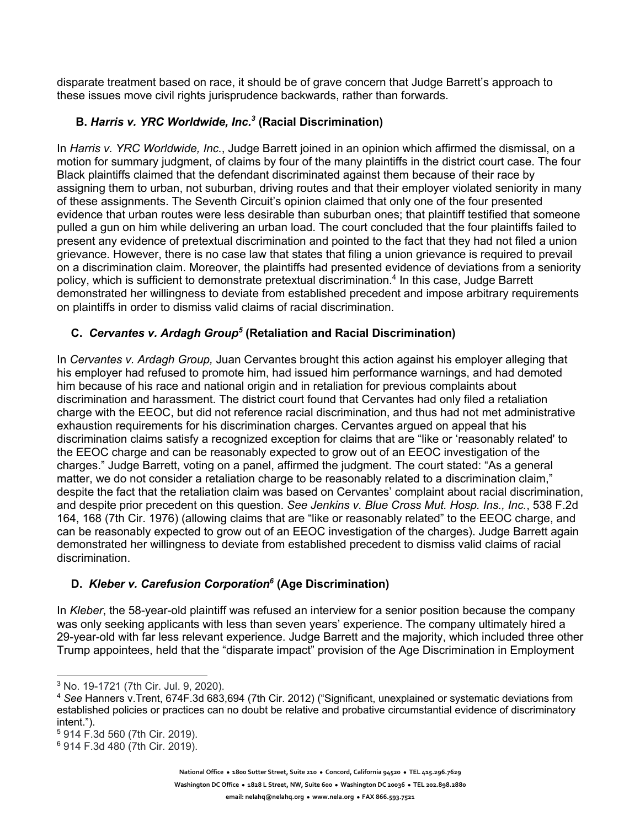disparate treatment based on race, it should be of grave concern that Judge Barrett's approach to these issues move civil rights jurisprudence backwards, rather than forwards.

#### **B.** *Harris v. YRC Worldwide, Inc.3* **(Racial Discrimination)**

In *Harris v. YRC Worldwide, Inc.*, Judge Barrett joined in an opinion which affirmed the dismissal, on a motion for summary judgment, of claims by four of the many plaintiffs in the district court case. The four Black plaintiffs claimed that the defendant discriminated against them because of their race by assigning them to urban, not suburban, driving routes and that their employer violated seniority in many of these assignments. The Seventh Circuit's opinion claimed that only one of the four presented evidence that urban routes were less desirable than suburban ones; that plaintiff testified that someone pulled a gun on him while delivering an urban load. The court concluded that the four plaintiffs failed to present any evidence of pretextual discrimination and pointed to the fact that they had not filed a union grievance. However, there is no case law that states that filing a union grievance is required to prevail on a discrimination claim. Moreover, the plaintiffs had presented evidence of deviations from a seniority policy, which is sufficient to demonstrate pretextual discrimination.<sup>4</sup> In this case, Judge Barrett demonstrated her willingness to deviate from established precedent and impose arbitrary requirements on plaintiffs in order to dismiss valid claims of racial discrimination.

### **C.** *Cervantes v. Ardagh Group<sup>5</sup>* **(Retaliation and Racial Discrimination)**

In *Cervantes v. Ardagh Group,* Juan Cervantes brought this action against his employer alleging that his employer had refused to promote him, had issued him performance warnings, and had demoted him because of his race and national origin and in retaliation for previous complaints about discrimination and harassment. The district court found that Cervantes had only filed a retaliation charge with the EEOC, but did not reference racial discrimination, and thus had not met administrative exhaustion requirements for his discrimination charges. Cervantes argued on appeal that his discrimination claims satisfy a recognized exception for claims that are "like or 'reasonably related' to the EEOC charge and can be reasonably expected to grow out of an EEOC investigation of the charges." Judge Barrett, voting on a panel, affirmed the judgment. The court stated: "As a general matter, we do not consider a retaliation charge to be reasonably related to a discrimination claim," despite the fact that the retaliation claim was based on Cervantes' complaint about racial discrimination, and despite prior precedent on this question. *See Jenkins v. Blue Cross Mut. Hosp. Ins., Inc.*, 538 F.2d 164, 168 (7th Cir. 1976) (allowing claims that are "like or reasonably related" to the EEOC charge, and can be reasonably expected to grow out of an EEOC investigation of the charges). Judge Barrett again demonstrated her willingness to deviate from established precedent to dismiss valid claims of racial discrimination.

## **D.** *Kleber v. Carefusion Corporation6* **(Age Discrimination)**

In *Kleber*, the 58-year-old plaintiff was refused an interview for a senior position because the company was only seeking applicants with less than seven years' experience. The company ultimately hired a 29-year-old with far less relevant experience. Judge Barrett and the majority, which included three other Trump appointees, held that the "disparate impact" provision of the Age Discrimination in Employment

<sup>5</sup> 914 F.3d 560 (7th Cir. 2019).

**Washington DC Office** l **1828 L Street, NW, Suite 600** l **Washington DC 20036** l **TEL 202.898.2880**

<sup>3</sup> No. 19-1721 (7th Cir. Jul. 9, 2020).

<sup>4</sup> *See* Hanners v.Trent, 674F.3d 683,694 (7th Cir. 2012) ("Significant, unexplained or systematic deviations from established policies or practices can no doubt be relative and probative circumstantial evidence of discriminatory intent.").

<sup>6</sup> 914 F.3d 480 (7th Cir. 2019).

**National Office** <sup>l</sup> **1800 Sutter Street, Suite 210** l **Concord, California 94520** l **TEL 415.296.7629**